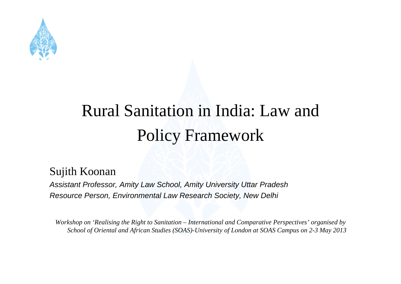

#### Rural Sanitation in India: Law and Polic y Framework

#### Sujith Koonan

*Assistant Professor, Amity Law School, Amity University Uttar Pradesh Resource Person, Environmental Law Research Society, New Delhi*

*Workshop on 'Realising the Right to Sanitation – International and Comparative Perspectives' organised by School of Oriental and African Studies (SOAS)-University of London at SOAS Campus on 2-3 May 2013*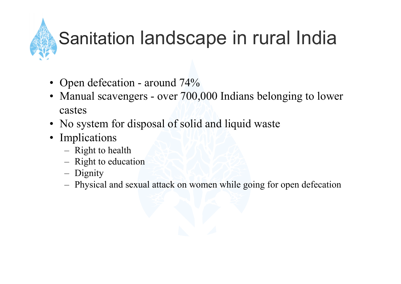## Sanitation landscape in rural India

- Open defecation around 74%
- Manual scavengers over 700,000 Indians belonging to lower castes
- No system for disposal of solid and liquid waste
- Implications
	- Right to health
	- Right to education
	- Dignity
	- Physical and sexual attack on women while going for open defecation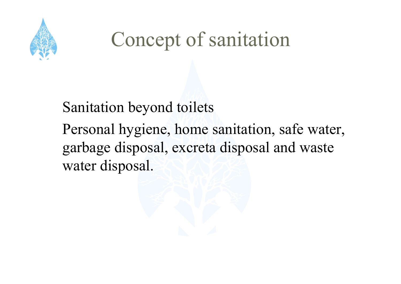

## Concept of sanitation

#### Sanitation beyond toilets Personal hygiene, home sanitation, safe water, garbage disposal, excreta disposal and waste water disposal.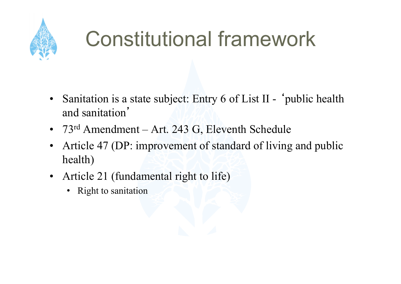

## Constitutional framework

- Sanitation is a state subject: Entry 6 of List II 'public health and sanitation'
- 73<sup>rd</sup> Amendment Art. 243 G, Eleventh Schedule
- Article 47 (DP: improvement of standard of living and public health)
- Article 21 (fundamental right to life)
	- Right to sanitation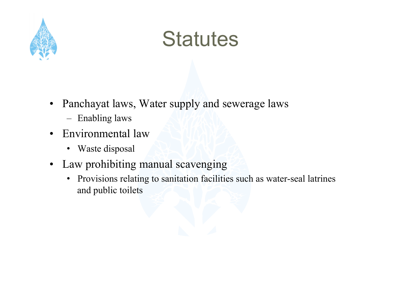

### **Statutes**

- Panchayat laws, Water supply and sewerage laws
	- Enabling laws
- Environmental law
	- Waste disposal
- Law prohibiting manual scavenging
	- Provisions relating to sanitation facilities such as water-seal latrines and public toilets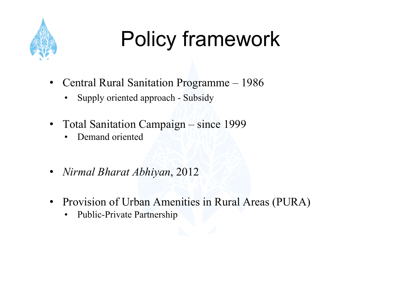

# Policy framework

- Central Rural Sanitation Programme 1986
	- Supply oriented approach Subsidy
- Total Sanitation Campaign since 1999
	- Demand oriented
- *Nirmal Bharat Abhiyan*, 2012
- Provision of Urban Amenities in Rural Areas (PURA)
	- Public-Private Partnership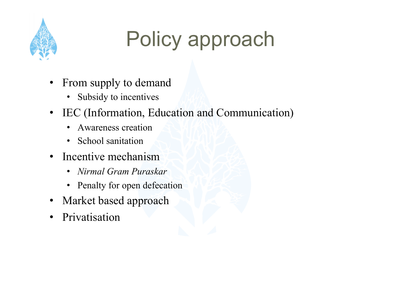

## Policy approach

- From supply to demand
	- Subsidy to incentives
- IEC (Information, Education and Communication)
	- Awareness creation
	- School sanitation
- Incentive mechanism
	- *Nirmal Gram Puraskar*
	- Penalty for open defecation
- Market based approach
- Privatisation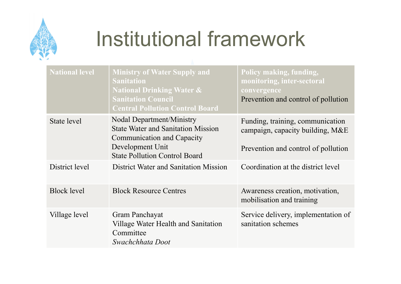

## Institutional framework

| <b>National level</b> | <b>Ministry of Water Supply and</b><br><b>Sanitation</b><br><b>National Drinking Water &amp;</b><br><b>Sanitation Council</b><br><b>Central Pollution Control Board</b>        | Policy making, funding,<br>monitoring, inter-sectoral<br>convergence<br>Prevention and control of pollution |
|-----------------------|--------------------------------------------------------------------------------------------------------------------------------------------------------------------------------|-------------------------------------------------------------------------------------------------------------|
| State level           | <b>Nodal Department/Ministry</b><br><b>State Water and Sanitation Mission</b><br><b>Communication and Capacity</b><br>Development Unit<br><b>State Pollution Control Board</b> | Funding, training, communication<br>campaign, capacity building, M&E<br>Prevention and control of pollution |
| District level        | District Water and Sanitation Mission                                                                                                                                          | Coordination at the district level                                                                          |
| <b>Block level</b>    | <b>Block Resource Centres</b>                                                                                                                                                  | Awareness creation, motivation,<br>mobilisation and training                                                |
| Village level         | Gram Panchayat<br>Village Water Health and Sanitation<br>Committee<br>Swachchhata Doot                                                                                         | Service delivery, implementation of<br>sanitation schemes                                                   |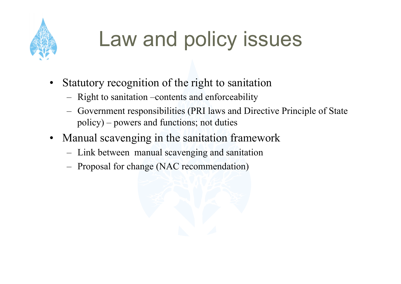

## Law and policy issues

- Statutory recognition of the right to sanitation
	- Right to sanitation –contents and enforceability
	- Government responsibilities (PRI laws and Directive Principle of State policy) – powers and functions; not duties
- Manual scavenging in the sanitation framework
	- Link between manual scavenging and sanitation
	- Proposal for change (NAC recommendation)